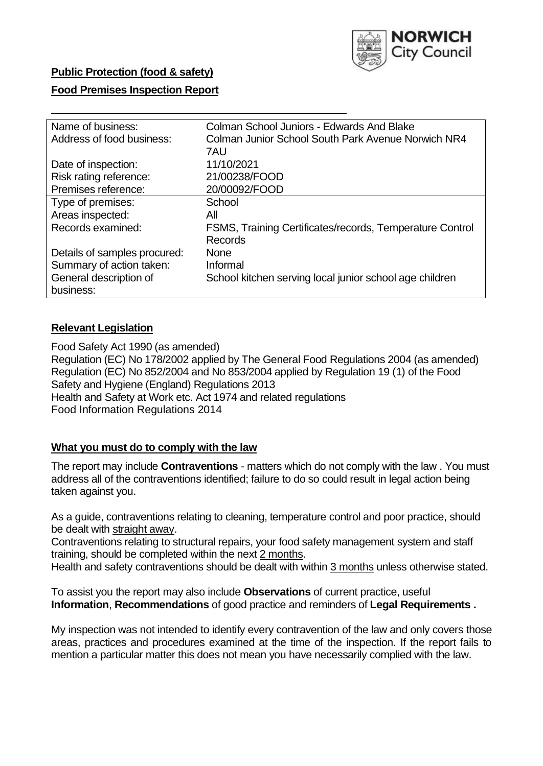

### **Public Protection (food & safety)**

### **Food Premises Inspection Report**

| Name of business:            | Colman School Juniors - Edwards And Blake                |  |  |  |  |
|------------------------------|----------------------------------------------------------|--|--|--|--|
| Address of food business:    | Colman Junior School South Park Avenue Norwich NR4       |  |  |  |  |
|                              | 7AU                                                      |  |  |  |  |
| Date of inspection:          | 11/10/2021                                               |  |  |  |  |
| Risk rating reference:       | 21/00238/FOOD                                            |  |  |  |  |
| Premises reference:          | 20/00092/FOOD                                            |  |  |  |  |
| Type of premises:            | School                                                   |  |  |  |  |
| Areas inspected:             | All                                                      |  |  |  |  |
| Records examined:            | FSMS, Training Certificates/records, Temperature Control |  |  |  |  |
|                              | <b>Records</b>                                           |  |  |  |  |
| Details of samples procured: | <b>None</b>                                              |  |  |  |  |
| Summary of action taken:     | Informal                                                 |  |  |  |  |
| General description of       | School kitchen serving local junior school age children  |  |  |  |  |
| business:                    |                                                          |  |  |  |  |

#### **Relevant Legislation**

Food Safety Act 1990 (as amended) Regulation (EC) No 178/2002 applied by The General Food Regulations 2004 (as amended) Regulation (EC) No 852/2004 and No 853/2004 applied by Regulation 19 (1) of the Food Safety and Hygiene (England) Regulations 2013 Health and Safety at Work etc. Act 1974 and related regulations Food Information Regulations 2014

### **What you must do to comply with the law**

The report may include **Contraventions** - matters which do not comply with the law . You must address all of the contraventions identified; failure to do so could result in legal action being taken against you.

As a guide, contraventions relating to cleaning, temperature control and poor practice, should be dealt with straight away.

Contraventions relating to structural repairs, your food safety management system and staff training, should be completed within the next 2 months.

Health and safety contraventions should be dealt with within 3 months unless otherwise stated.

To assist you the report may also include **Observations** of current practice, useful **Information**, **Recommendations** of good practice and reminders of **Legal Requirements .**

My inspection was not intended to identify every contravention of the law and only covers those areas, practices and procedures examined at the time of the inspection. If the report fails to mention a particular matter this does not mean you have necessarily complied with the law.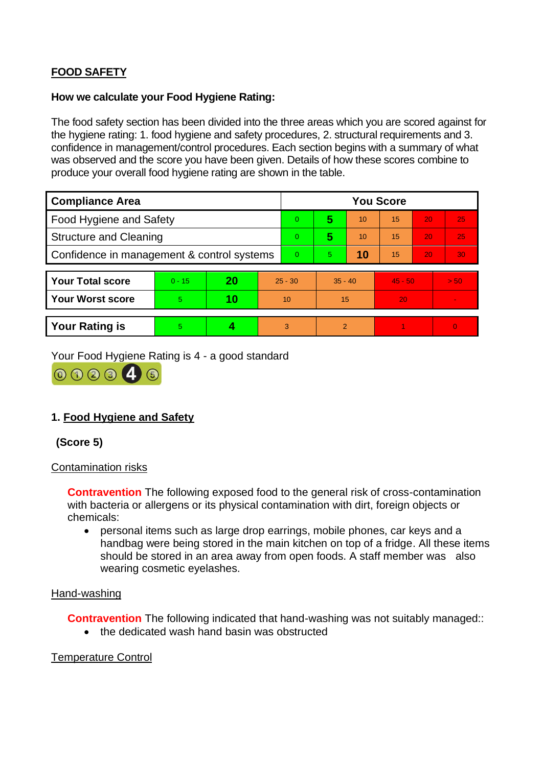# **FOOD SAFETY**

### **How we calculate your Food Hygiene Rating:**

The food safety section has been divided into the three areas which you are scored against for the hygiene rating: 1. food hygiene and safety procedures, 2. structural requirements and 3. confidence in management/control procedures. Each section begins with a summary of what was observed and the score you have been given. Details of how these scores combine to produce your overall food hygiene rating are shown in the table.

| <b>Compliance Area</b>                     |          |    |           | <b>You Score</b> |                |    |           |    |          |  |  |
|--------------------------------------------|----------|----|-----------|------------------|----------------|----|-----------|----|----------|--|--|
| <b>Food Hygiene and Safety</b>             |          |    |           | $\Omega$         | 5              | 10 | 15        | 20 | 25       |  |  |
| <b>Structure and Cleaning</b>              |          |    |           | $\overline{0}$   | 5              | 10 | 15        | 20 | 25       |  |  |
| Confidence in management & control systems |          |    |           | $\Omega$         | 5              | 10 | 15        | 20 | 30       |  |  |
|                                            |          |    |           |                  |                |    |           |    |          |  |  |
| <b>Your Total score</b>                    | $0 - 15$ | 20 | $25 - 30$ |                  | $35 - 40$      |    | $45 - 50$ |    | > 50     |  |  |
| <b>Your Worst score</b>                    | 5        | 10 | 10        |                  | 15             |    | 20        |    |          |  |  |
|                                            |          |    |           |                  |                |    |           |    |          |  |  |
| <b>Your Rating is</b>                      | 5        |    |           | 3                | $\overline{2}$ |    |           |    | $\Omega$ |  |  |

Your Food Hygiene Rating is 4 - a good standard



## **1. Food Hygiene and Safety**

### **(Score 5)**

### Contamination risks

**Contravention** The following exposed food to the general risk of cross-contamination with bacteria or allergens or its physical contamination with dirt, foreign objects or chemicals:

• personal items such as large drop earrings, mobile phones, car keys and a handbag were being stored in the main kitchen on top of a fridge. All these items should be stored in an area away from open foods. A staff member was also wearing cosmetic eyelashes.

### Hand-washing

**Contravention** The following indicated that hand-washing was not suitably managed::

• the dedicated wash hand basin was obstructed

### Temperature Control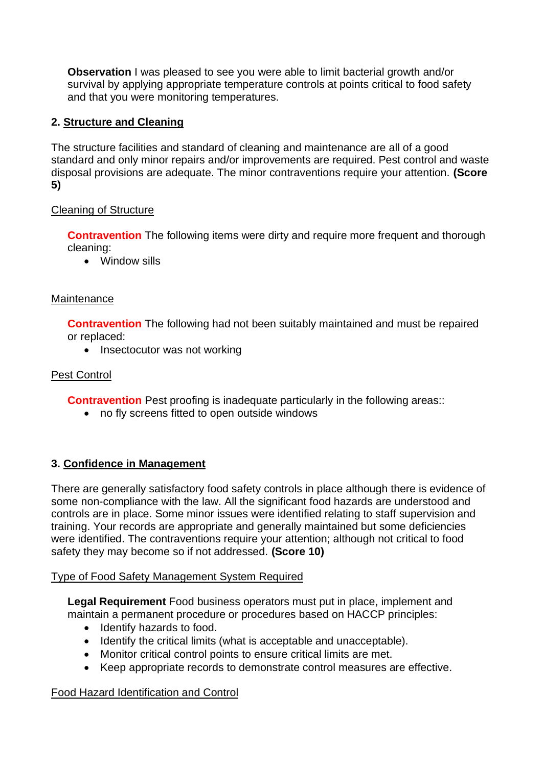**Observation** I was pleased to see you were able to limit bacterial growth and/or survival by applying appropriate temperature controls at points critical to food safety and that you were monitoring temperatures.

# **2. Structure and Cleaning**

The structure facilities and standard of cleaning and maintenance are all of a good standard and only minor repairs and/or improvements are required. Pest control and waste disposal provisions are adequate. The minor contraventions require your attention. **(Score 5)**

### Cleaning of Structure

**Contravention** The following items were dirty and require more frequent and thorough cleaning:

• Window sills

### **Maintenance**

**Contravention** The following had not been suitably maintained and must be repaired or replaced:

• Insectocutor was not working

## Pest Control

**Contravention** Pest proofing is inadequate particularly in the following areas::

• no fly screens fitted to open outside windows

## **3. Confidence in Management**

There are generally satisfactory food safety controls in place although there is evidence of some non-compliance with the law. All the significant food hazards are understood and controls are in place. Some minor issues were identified relating to staff supervision and training. Your records are appropriate and generally maintained but some deficiencies were identified. The contraventions require your attention; although not critical to food safety they may become so if not addressed. **(Score 10)**

### Type of Food Safety Management System Required

**Legal Requirement** Food business operators must put in place, implement and maintain a permanent procedure or procedures based on HACCP principles:

- Identify hazards to food.
- Identify the critical limits (what is acceptable and unacceptable).
- Monitor critical control points to ensure critical limits are met.
- Keep appropriate records to demonstrate control measures are effective.

### Food Hazard Identification and Control